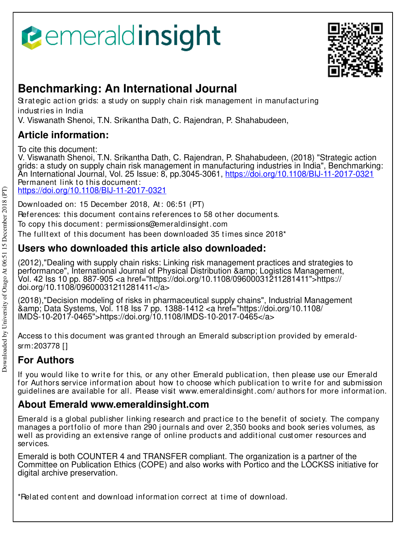



# **Benchmarking: An International Journal**

St rat egic act ion grids: a st udy on supply chain risk management in manufact uring indust ries in India

V. Viswanath Shenoi, T.N. Srikantha Dath, C. Rajendran, P. Shahabudeen,

# **Article information:**

To cite this document:

V. Viswanath Shenoi, T.N. Srikantha Dath, C. Rajendran, P. Shahabudeen, (2018) "Strategic action grids: a study on supply chain risk management in manufacturing industries in India", Benchmarking: An International Journal, Vol. 25 Issue: 8, pp.3045-3061, https://doi.org/10.1108/BIJ-11-2017-0321 Permanent link to this document:

https://doi.org/10.1108/BIJ-11-2017-0321

Downloaded on: 15 December 2018, At : 06:51 (PT)

References: this document contains references to 58 other documents.

To copy t his document : permissions@emeraldinsight .com

The fulltext of this document has been downloaded  $35$  times since  $2018<sup>*</sup>$ 

# **Users who downloaded this article also downloaded:**

(2012),"Dealing with supply chain risks: Linking risk management practices and strategies to performance", International Journal of Physical Distribution & Logistics Management, Vol. 42 Iss 10 pp. 887-905 <a href="https://doi.org/10.1108/09600031211281411">https:// doi.org/10.1108/09600031211281411</a>

(2018),"Decision modeling of risks in pharmaceutical supply chains", Industrial Management &amp; Data Systems, Vol. 118 Iss 7 pp. 1388-1412 <a href="https://doi.org/10.1108/ IMDS-10-2017-0465">https://doi.org/10.1108/IMDS-10-2017-0465</a>

Access to this document was granted through an Emerald subscription provided by emeraldsrm:203778 []

# **For Authors**

If you would like to write for this, or any other Emerald publication, then please use our Emerald for Authors service information about how to choose which publication to write for and submission guidelines are available for all. Please visit www.emeraldinsight .com/ aut hors for more informat ion.

# **About Emerald www.emeraldinsight.com**

Emerald is a global publisher linking research and practice to the benefit of society. The company manages a portfolio of more than 290 journals and over 2,350 books and book series volumes, as well as providing an extensive range of online products and additional customer resources and services.

Emerald is both COUNTER 4 and TRANSFER compliant. The organization is a partner of the Committee on Publication Ethics (COPE) and also works with Portico and the LOCKSS initiative for digital archive preservation.

\*Related content and download information correct at time of download.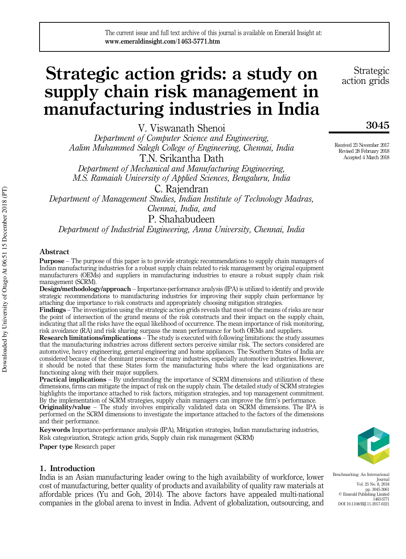The current issue and full text archive of this journal is available on Emerald Insight at: www.emeraldinsight.com/1463-5771.htm

# Strategic action grids: a study on supply chain risk management in manufacturing industries in India

V. Viswanath Shenoi *Department of Computer Science and Engineering, Aalim Muhammed Salegh College of Engineering, Chennai, India* T.N. Srikantha Dath

*Department of Mechanical and Manufacturing Engineering, M.S. Ramaiah University of Applied Sciences, Bengaluru, India*

C. Rajendran *Department of Management Studies, Indian Institute of Technology Madras, Chennai, India, and*

P. Shahabudeen

*Department of Industrial Engineering, Anna University, Chennai, India*

#### Abstract

**Purpose** – The purpose of this paper is to provide strategic recommendations to supply chain managers of Indian manufacturing industries for a robust supply chain related to risk management by original equipment manufacturers (OEMs) and suppliers in manufacturing industries to ensure a robust supply chain risk management (SCRM).

Design/methodology/approach – Importance-performance analysis (IPA) is utilized to identify and provide strategic recommendations to manufacturing industries for improving their supply chain performance by attaching due importance to risk constructs and appropriately choosing mitigation strategies.

Findings – The investigation using the strategic action grids reveals that most of the means of risks are near the point of intersection of the grand means of the risk constructs and their impact on the supply chain, indicating that all the risks have the equal likelihood of occurrence. The mean importance of risk monitoring, risk avoidance (RA) and risk sharing surpass the mean performance for both OEMs and suppliers.

Research limitations/implications – The study is executed with following limitations: the study assumes that the manufacturing industries across different sectors perceive similar risk. The sectors considered are automotive, heavy engineering, general engineering and home appliances. The Southern States of India are considered because of the dominant presence of many industries, especially automotive industries. However, it should be noted that these States form the manufacturing hubs where the lead organizations are functioning along with their major suppliers.

Practical implications – By understanding the importance of SCRM dimensions and utilization of these dimensions, firms can mitigate the impact of risk on the supply chain. The detailed study of SCRM strategies highlights the importance attached to risk factors, mitigation strategies, and top management commitment. By the implementation of SCRM strategies, supply chain managers can improve the firm's performance.

**Originality/value** – The study involves empirically validated data on SCRM dimensions. The IPA is performed on the SCRM dimensions to investigate the importance attached to the factors of the dimensions and their performance.

Keywords Importance-performance analysis (IPA), Mitigation strategies, Indian manufacturing industries, Risk categorization, Strategic action grids, Supply chain risk management (SCRM)

Paper type Research paper

#### 1. Introduction

India is an Asian manufacturing leader owing to the high availability of workforce, lower cost of manufacturing, better quality of products and availability of quality raw materials at affordable prices (Yu and Goh, 2014). The above factors have appealed multi-national companies in the global arena to invest in India. Advent of globalization, outsourcing, and

Strategic action grids

### 3045

Received 23 November 2017 Revised 28 February 2018 Accepted 4 March 2018

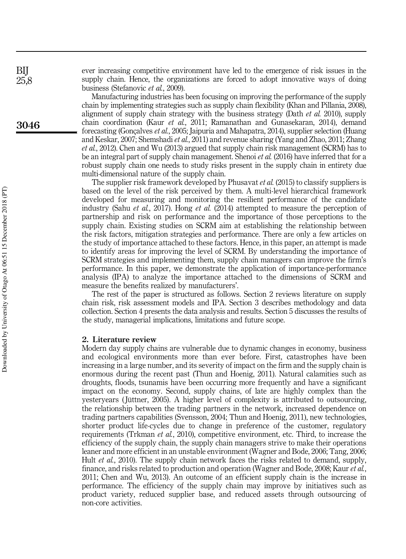ever increasing competitive environment have led to the emergence of risk issues in the supply chain. Hence, the organizations are forced to adopt innovative ways of doing business (Stefanovic *et al.*, 2009).

Manufacturing industries has been focusing on improving the performance of the supply chain by implementing strategies such as supply chain flexibility (Khan and Pillania, 2008), alignment of supply chain strategy with the business strategy (Dath *et al.* 2010), supply chain coordination (Kaur *et al.*, 2011; Ramanathan and Gunasekaran, 2014), demand forecasting (Gonçalves *et al.*, 2005; Jaipuria and Mahapatra, 2014), supplier selection (Huang and Keskar, 2007; Shemshadi *et al.*, 2011) and revenue sharing (Yang and Zhao, 2011; Zhang *et al.*, 2012). Chen and Wu (2013) argued that supply chain risk management (SCRM) has to be an integral part of supply chain management. Shenoi *et al.* (2016) have inferred that for a robust supply chain one needs to study risks present in the supply chain in entirety due multi-dimensional nature of the supply chain.

The supplier risk framework developed by Phusavat *et al.* (2015) to classify suppliers is based on the level of the risk perceived by them. A multi-level hierarchical framework developed for measuring and monitoring the resilient performance of the candidate industry (Sahu *et al.*, 2017). Hong *et al.* (2014) attempted to measure the perception of partnership and risk on performance and the importance of those perceptions to the supply chain. Existing studies on SCRM aim at establishing the relationship between the risk factors, mitigation strategies and performance. There are only a few articles on the study of importance attached to these factors. Hence, in this paper, an attempt is made to identify areas for improving the level of SCRM. By understanding the importance of SCRM strategies and implementing them, supply chain managers can improve the firm's performance. In this paper, we demonstrate the application of importance-performance analysis (IPA) to analyze the importance attached to the dimensions of SCRM and measure the benefits realized by manufacturers'.

The rest of the paper is structured as follows. Section 2 reviews literature on supply chain risk, risk assessment models and IPA. Section 3 describes methodology and data collection. Section 4 presents the data analysis and results. Section 5 discusses the results of the study, managerial implications, limitations and future scope.

#### 2. Literature review

Modern day supply chains are vulnerable due to dynamic changes in economy, business and ecological environments more than ever before. First, catastrophes have been increasing in a large number, and its severity of impact on the firm and the supply chain is enormous during the recent past (Thun and Hoenig, 2011). Natural calamities such as droughts, floods, tsunamis have been occurring more frequently and have a significant impact on the economy. Second, supply chains, of late are highly complex than the yesteryears ( Jüttner, 2005). A higher level of complexity is attributed to outsourcing, the relationship between the trading partners in the network, increased dependence on trading partners capabilities (Svensson, 2004; Thun and Hoenig, 2011), new technologies, shorter product life-cycles due to change in preference of the customer, regulatory requirements (Trkman *et al.*, 2010), competitive environment, etc. Third, to increase the efficiency of the supply chain, the supply chain managers strive to make their operations leaner and more efficient in an unstable environment (Wagner and Bode, 2006; Tang, 2006; Hult *et al.*, 2010). The supply chain network faces the risks related to demand, supply, finance, and risks related to production and operation (Wagner and Bode, 2008; Kaur *et al.*, 2011; Chen and Wu, 2013). An outcome of an efficient supply chain is the increase in performance. The efficiency of the supply chain may improve by initiatives such as product variety, reduced supplier base, and reduced assets through outsourcing of non-core activities.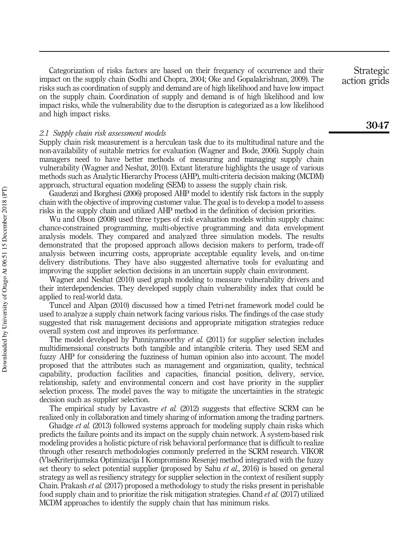Categorization of risks factors are based on their frequency of occurrence and their impact on the supply chain (Sodhi and Chopra, 2004; Oke and Gopalakrishnan, 2009). The risks such as coordination of supply and demand are of high likelihood and have low impact on the supply chain. Coordination of supply and demand is of high likelihood and low impact risks, while the vulnerability due to the disruption is categorized as a low likelihood and high impact risks.

*2.1 Supply chain risk assessment models*

Supply chain risk measurement is a herculean task due to its multitudinal nature and the non-availability of suitable metrics for evaluation (Wagner and Bode, 2006). Supply chain managers need to have better methods of measuring and managing supply chain vulnerability (Wagner and Neshat, 2010). Extant literature highlights the usage of various methods such as Analytic Hierarchy Process (AHP), multi-criteria decision making (MCDM) approach, structural equation modeling (SEM) to assess the supply chain risk.

Gaudenzi and Borghesi (2006) proposed AHP model to identify risk factors in the supply chain with the objective of improving customer value. The goal is to develop a model to assess risks in the supply chain and utilized AHP method in the definition of decision priorities.

Wu and Olson (2008) used three types of risk evaluation models within supply chains: chance-constrained programming, multi-objective programming and data envelopment analysis models. They compared and analyzed three simulation models. The results demonstrated that the proposed approach allows decision makers to perform, trade-off analysis between incurring costs, appropriate acceptable equality levels, and on-time delivery distributions. They have also suggested alternative tools for evaluating and improving the supplier selection decisions in an uncertain supply chain environment.

Wagner and Neshat (2010) used graph modeling to measure vulnerability drivers and their interdependencies. They developed supply chain vulnerability index that could be applied to real-world data.

Tuncel and Alpan (2010) discussed how a timed Petri-net framework model could be used to analyze a supply chain network facing various risks. The findings of the case study suggested that risk management decisions and appropriate mitigation strategies reduce overall system cost and improves its performance.

The model developed by Punniyamoorthy *et al.* (2011) for supplier selection includes multidimensional constructs both tangible and intangible criteria. They used SEM and fuzzy AHP for considering the fuzziness of human opinion also into account. The model proposed that the attributes such as management and organization, quality, technical capability, production facilities and capacities, financial position, delivery, service, relationship, safety and environmental concern and cost have priority in the supplier selection process. The model paves the way to mitigate the uncertainties in the strategic decision such as supplier selection.

The empirical study by Lavastre *et al.* (2012) suggests that effective SCRM can be realized only in collaboration and timely sharing of information among the trading partners.

Ghadge *et al.* (2013) followed systems approach for modeling supply chain risks which predicts the failure points and its impact on the supply chain network. A system-based risk modeling provides a holistic picture of risk behavioral performance that is difficult to realize through other research methodologies commonly preferred in the SCRM research. VIKOR (VlseKriterijumska Optimizacija I Kompromisno Resenje) method integrated with the fuzzy set theory to select potential supplier (proposed by Sahu *et al.*, 2016) is based on general strategy as well as resiliency strategy for supplier selection in the context of resilient supply Chain. Prakash *et al.* (2017) proposed a methodology to study the risks present in perishable food supply chain and to prioritize the risk mitigation strategies. Chand *et al.* (2017) utilized MCDM approaches to identify the supply chain that has minimum risks.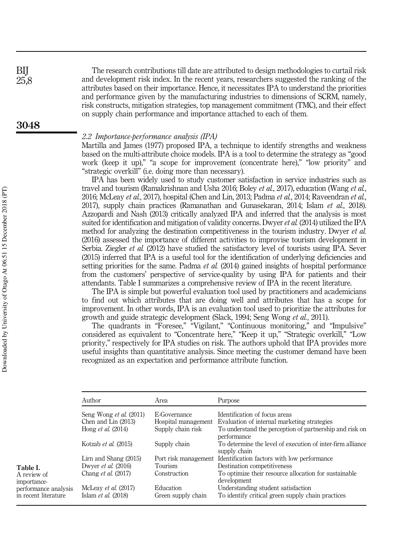The research contributions till date are attributed to design methodologies to curtail risk and development risk index. In the recent years, researchers suggested the ranking of the attributes based on their importance. Hence, it necessitates IPA to understand the priorities and performance given by the manufacturing industries to dimensions of SCRM, namely, risk constructs, mitigation strategies, top management commitment (TMC), and their effect on supply chain performance and importance attached to each of them.

#### *2.2 Importance-performance analysis (IPA)*

Martilla and James (1977) proposed IPA, a technique to identify strengths and weakness based on the multi-attribute choice models. IPA is a tool to determine the strategy as "good work (keep it up)," "a scope for improvement (concentrate here)," "low priority" and "strategic overkill" (i.e. doing more than necessary).

IPA has been widely used to study customer satisfaction in service industries such as travel and tourism (Ramakrishnan and Usha 2016; Boley *et al.*, 2017), education (Wang *et al.*, 2016; McLeay *et al.*, 2017), hospital (Chen and Lin, 2013; Padma *et al.*, 2014; Raveendran *et al.*, 2017), supply chain practices (Ramanathan and Gunasekaran, 2014; Islam *et al.*, 2018). Azzopardi and Nash (2013) critically analyzed IPA and inferred that the analysis is most suited for identification and mitigation of validity concerns. Dwyer*et al.* (2014) utilized the IPA method for analyzing the destination competitiveness in the tourism industry. Dwyer *et al.* (2016) assessed the importance of different activities to improvise tourism development in Serbia. Ziegler *et al.* (2012) have studied the satisfactory level of tourists using IPA. Sever (2015) inferred that IPA is a useful tool for the identification of underlying deficiencies and setting priorities for the same. Padma *et al.* (2014) gained insights of hospital performance from the customers' perspective of service-quality by using IPA for patients and their attendants. Table I summarizes a comprehensive review of IPA in the recent literature.

The IPA is simple but powerful evaluation tool used by practitioners and academicians to find out which attributes that are doing well and attributes that has a scope for improvement. In other words, IPA is an evaluation tool used to prioritize the attributes for growth and guide strategic development (Slack, 1994; Seng Wong *et al.*, 2011).

The quadrants in "Foresee," "Vigilant," "Continuous monitoring," and "Impulsive" considered as equivalent to "Concentrate here," "Keep it up," "Strategic overkill," "Low priority," respectively for IPA studies on risk. The authors uphold that IPA provides more useful insights than quantitative analysis. Since meeting the customer demand have been recognized as an expectation and performance attribute function.

|                                                             | Author                                                                         | Area                                                     | Purpose                                                                                                                                                  |
|-------------------------------------------------------------|--------------------------------------------------------------------------------|----------------------------------------------------------|----------------------------------------------------------------------------------------------------------------------------------------------------------|
|                                                             | Seng Wong et al. (2011)<br>Chen and Lin $(2013)$<br>Hong <i>et al.</i> (2014)  | E-Governance<br>Hospital management<br>Supply chain risk | Identification of focus areas<br>Evaluation of internal marketing strategies<br>To understand the perception of partnership and risk on                  |
|                                                             | Kotzab et al. (2015)                                                           | Supply chain                                             | performance<br>To determine the level of execution of inter-firm alliance<br>supply chain                                                                |
| Table I.<br>A review of                                     | Lirn and Shang $(2015)$<br>Dwyer et al. $(2016)$<br>Chang <i>et al.</i> (2017) | Tourism<br>Construction                                  | Port risk management Identification factors with low performance<br>Destination competitiveness<br>To optimize their resource allocation for sustainable |
| importance-<br>performance analysis<br>in recent literature | McLeay et al. (2017)<br>Islam et al. (2018)                                    | Education<br>Green supply chain                          | development<br>Understanding student satisfaction<br>To identify critical green supply chain practices                                                   |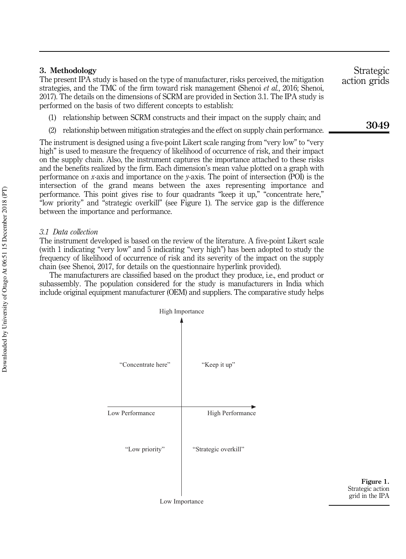#### 3. Methodology

The present IPA study is based on the type of manufacturer, risks perceived, the mitigation strategies, and the TMC of the firm toward risk management (Shenoi *et al.*, 2016; Shenoi, 2017). The details on the dimensions of SCRM are provided in Section 3.1. The IPA study is performed on the basis of two different concepts to establish:

- (1) relationship between SCRM constructs and their impact on the supply chain; and
- (2) relationship between mitigation strategies and the effect on supply chain performance.

The instrument is designed using a five-point Likert scale ranging from "very low" to "very high" is used to measure the frequency of likelihood of occurrence of risk, and their impact on the supply chain. Also, the instrument captures the importance attached to these risks and the benefits realized by the firm. Each dimension's mean value plotted on a graph with performance on *x*-axis and importance on the *y*-axis. The point of intersection (POI) is the intersection of the grand means between the axes representing importance and performance. This point gives rise to four quadrants "keep it up," "concentrate here," "low priority" and "strategic overkill" (see Figure 1). The service gap is the difference between the importance and performance.

#### *3.1 Data collection*

The instrument developed is based on the review of the literature. A five-point Likert scale (with 1 indicating "very low" and 5 indicating "very high") has been adopted to study the frequency of likelihood of occurrence of risk and its severity of the impact on the supply chain (see Shenoi, 2017, for details on the questionnaire hyperlink provided).

The manufacturers are classified based on the product they produce, i.e., end product or subassembly. The population considered for the study is manufacturers in India which include original equipment manufacturer (OEM) and suppliers. The comparative study helps



Figure 1. Strategic action grid in the IPA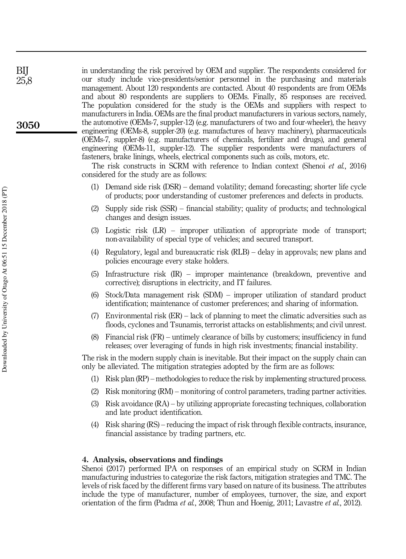in understanding the risk perceived by OEM and supplier. The respondents considered for our study include vice-presidents/senior personnel in the purchasing and materials management. About 120 respondents are contacted. About 40 respondents are from OEMs and about 80 respondents are suppliers to OEMs. Finally, 85 responses are received. The population considered for the study is the OEMs and suppliers with respect to manufacturers in India. OEMs are the final product manufacturers in various sectors, namely, the automotive (OEMs-7, suppler-12) (e.g. manufacturers of two and four-wheeler), the heavy engineering (OEMs-8, suppler-20) (e.g. manufactures of heavy machinery), pharmaceuticals (OEMs-7, suppler-8) (e.g. manufacturers of chemicals, fertilizer and drugs), and general engineering (OEMs-11, suppler-12). The supplier respondents were manufacturers of fasteners, brake linings, wheels, electrical components such as coils, motors, etc.

The risk constructs in SCRM with reference to Indian context (Shenoi *et al.*, 2016) considered for the study are as follows:

- (1) Demand side risk (DSR) demand volatility; demand forecasting; shorter life cycle of products; poor understanding of customer preferences and defects in products.
- (2) Supply side risk (SSR) financial stability; quality of products; and technological changes and design issues.
- (3) Logistic risk (LR) improper utilization of appropriate mode of transport; non-availability of special type of vehicles; and secured transport.
- (4) Regulatory, legal and bureaucratic risk (RLB) delay in approvals; new plans and policies encourage every stake holders.
- (5) Infrastructure risk (IR) improper maintenance (breakdown, preventive and corrective); disruptions in electricity, and IT failures.
- (6) Stock/Data management risk (SDM) improper utilization of standard product identification; maintenance of customer preferences; and sharing of information.
- (7) Environmental risk (ER) lack of planning to meet the climatic adversities such as floods, cyclones and Tsunamis, terrorist attacks on establishments; and civil unrest.
- (8) Financial risk (FR) untimely clearance of bills by customers; insufficiency in fund releases; over leveraging of funds in high risk investments; financial instability.

The risk in the modern supply chain is inevitable. But their impact on the supply chain can only be alleviated. The mitigation strategies adopted by the firm are as follows:

- (1) Risk plan (RP) methodologies to reduce the risk by implementing structured process.
- (2) Risk monitoring (RM) monitoring of control parameters, trading partner activities.
- (3) Risk avoidance (RA) by utilizing appropriate forecasting techniques, collaboration and late product identification.
- (4) Risk sharing (RS) reducing the impact of risk through flexible contracts, insurance, financial assistance by trading partners, etc.

#### 4. Analysis, observations and findings

Shenoi (2017) performed IPA on responses of an empirical study on SCRM in Indian manufacturing industries to categorize the risk factors, mitigation strategies and TMC. The levels of risk faced by the different firms vary based on nature of its business. The attributes include the type of manufacturer, number of employees, turnover, the size, and export orientation of the firm (Padma *et al.*, 2008; Thun and Hoenig, 2011; Lavastre *et al.*, 2012).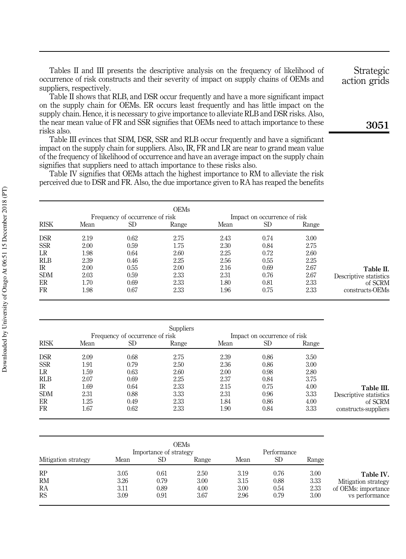Tables II and III presents the descriptive analysis on the frequency of likelihood of occurrence of risk constructs and their severity of impact on supply chains of OEMs and suppliers, respectively.

Table II shows that RLB, and DSR occur frequently and have a more significant impact on the supply chain for OEMs. ER occurs least frequently and has little impact on the supply chain. Hence, it is necessary to give importance to alleviate RLB and DSR risks. Also, the near mean value of FR and SSR signifies that OEMs need to attach importance to these risks also.

Table III evinces that SDM, DSR, SSR and RLB occur frequently and have a significant impact on the supply chain for suppliers. Also, IR, FR and LR are near to grand mean value of the frequency of likelihood of occurrence and have an average impact on the supply chain signifies that suppliers need to attach importance to these risks also.

Table IV signifies that OEMs attach the highest importance to RM to alleviate the risk perceived due to DSR and FR. Also, the due importance given to RA has reaped the benefits

|             |      | Frequency of occurrence of risk |       |      | Impact on occurrence of risk |       |
|-------------|------|---------------------------------|-------|------|------------------------------|-------|
| <b>RISK</b> | Mean | SD                              | Range | Mean | SD                           | Range |
| <b>DSR</b>  | 2.19 | 0.62                            | 2.75  | 2.43 | 0.74                         | 3.00  |
| <b>SSR</b>  | 2.00 | 0.59                            | 1.75  | 2.30 | 0.84                         | 2.75  |
| LR          | 1.98 | 0.64                            | 2.60  | 2.25 | 0.72                         | 2.60  |
| <b>RLB</b>  | 2.39 | 0.46                            | 2.25  | 2.56 | 0.55                         | 2.25  |
| IR.         | 2.00 | 0.55                            | 2.00  | 2.16 | 0.69                         | 2.67  |
| <b>SDM</b>  | 2.03 | 0.59                            | 2.33  | 2.31 | 0.76                         | 2.67  |
| ER          | 1.70 | 0.69                            | 2.33  | 1.80 | 0.81                         | 2.33  |
| FR          | 1.98 | 0.67                            | 2.33  | 1.96 | 0.75                         | 2.33  |

|             |      |                                 | <b>Suppliers</b> |      |                              |       |                        |
|-------------|------|---------------------------------|------------------|------|------------------------------|-------|------------------------|
|             |      | Frequency of occurrence of risk |                  |      | Impact on occurrence of risk |       |                        |
| <b>RISK</b> | Mean | SD                              | Range            | Mean | SD                           | Range |                        |
| <b>DSR</b>  | 2.09 | 0.68                            | 2.75             | 2.39 | 0.86                         | 3.50  |                        |
| <b>SSR</b>  | 1.91 | 0.79                            | 2.50             | 2.36 | 0.86                         | 3.00  |                        |
| LR          | 1.59 | 0.63                            | 2.60             | 2.00 | 0.98                         | 2.80  |                        |
| <b>RLB</b>  | 2.07 | 0.69                            | 2.25             | 2.37 | 0.84                         | 3.75  |                        |
| IR          | 1.69 | 0.64                            | 2.33             | 2.15 | 0.75                         | 4.00  | Table III.             |
| <b>SDM</b>  | 2.31 | 0.88                            | 3.33             | 2.31 | 0.96                         | 3.33  | Descriptive statistics |
| ER          | 1.25 | 0.49                            | 2.33             | 1.84 | 0.86                         | 4.00  | of SCRM                |
| FR          | 1.67 | 0.62                            | 2.33             | 1.90 | 0.84                         | 3.33  | constructs-suppliers   |

|                     |      | Importance of strategy | OEMs  |      | Performance |       |                     |
|---------------------|------|------------------------|-------|------|-------------|-------|---------------------|
| Mitigation strategy | Mean | SD                     | Range | Mean | SD          | Range |                     |
| RP                  | 3.05 | 0.61                   | 2.50  | 3.19 | 0.76        | 3.00  | Table IV.           |
| <b>RM</b>           | 3.26 | 0.79                   | 3.00  | 3.15 | 0.88        | 3.33  | Mitigation strategy |
| RA                  | 3.11 | 0.89                   | 4.00  | 3.00 | 0.54        | 2.33  | of OEMs: importance |
| <b>RS</b>           | 3.09 | 0.91                   | 3.67  | 2.96 | 0.79        | 3.00  | vs performance      |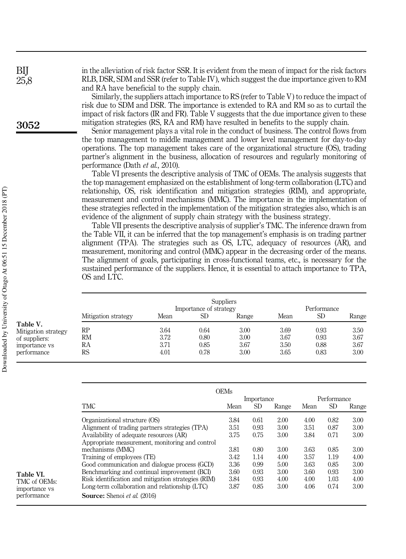in the alleviation of risk factor SSR. It is evident from the mean of impact for the risk factors RLB, DSR, SDM and SSR (refer to Table IV), which suggest the due importance given to RM and RA have beneficial to the supply chain.

Similarly, the suppliers attach importance to RS (refer to Table V) to reduce the impact of risk due to SDM and DSR. The importance is extended to RA and RM so as to curtail the impact of risk factors (IR and FR). Table V suggests that the due importance given to these mitigation strategies (RS, RA and RM) have resulted in benefits to the supply chain.

Senior management plays a vital role in the conduct of business. The control flows from the top management to middle management and lower level management for day-to-day operations. The top management takes care of the organizational structure (OS), trading partner's alignment in the business, allocation of resources and regularly monitoring of performance (Dath *et al.*, 2010).

Table VI presents the descriptive analysis of TMC of OEMs. The analysis suggests that the top management emphasized on the establishment of long-term collaboration (LTC) and relationship, OS, risk identification and mitigation strategies (RIM), and appropriate, measurement and control mechanisms (MMC). The importance in the implementation of these strategies reflected in the implementation of the mitigation strategies also, which is an evidence of the alignment of supply chain strategy with the business strategy.

Table VII presents the descriptive analysis of supplier's TMC. The inference drawn from the Table VII, it can be inferred that the top management's emphasis is on trading partner alignment (TPA). The strategies such as OS, LTC, adequacy of resources (AR), and measurement, monitoring and control (MMC) appear in the decreasing order of the means. The alignment of goals, participating in cross-functional teams, etc., is necessary for the sustained performance of the suppliers. Hence, it is essential to attach importance to TPA, OS and LTC.

|                                 |                     |      | Importance of strategy | <b>Suppliers</b> |      | Performance |       |
|---------------------------------|---------------------|------|------------------------|------------------|------|-------------|-------|
|                                 | Mitigation strategy | Mean | SD.                    | Range            | Mean | <b>SD</b>   | Range |
| Table V.<br>Mitigation strategy | RP                  | 3.64 | 0.64                   | 3.00             | 3.69 | 0.93        | 3.50  |
| of suppliers:                   | RМ                  | 3.72 | 0.80                   | 3.00             | 3.67 | 0.93        | 3.67  |
| importance vs                   | RA                  | 3.71 | 0.85                   | 3.67             | 3.50 | 0.88        | 3.67  |
| performance                     | RS                  | 4.01 | 0.78                   | 3.00             | 3.65 | 0.83        | 3.00  |

|                                                     | OEMs<br>Importance |           | Performance |      |           |       |
|-----------------------------------------------------|--------------------|-----------|-------------|------|-----------|-------|
| <b>TMC</b>                                          | Mean               | <b>SD</b> | Range       | Mean | <b>SD</b> | Range |
| Organizational structure (OS)                       | 3.84               | 0.61      | 2.00        | 4.00 | 0.82      | 3.00  |
| Alignment of trading partners strategies (TPA)      | 3.51               | 0.93      | 3.00        | 3.51 | 0.87      | 3.00  |
| Availability of adequate resources (AR)             | 3.75               | 0.75      | 3.00        | 3.84 | 0.71      | 3.00  |
| Appropriate measurement, monitoring and control     |                    |           |             |      |           |       |
| mechanisms (MMC)                                    | 3.81               | 0.80      | 3.00        | 3.63 | 0.85      | 3.00  |
| Training of employees (TE)                          | 3.42               | 1.14      | 4.00        | 3.57 | 1.19      | 4.00  |
| Good communication and dialogue process (GCD)       | 3.36               | 0.99      | 5.00        | 3.63 | 0.85      | 3.00  |
| Benchmarking and continual improvement (BCI)        | 3.60               | 0.93      | 3.00        | 3.60 | 0.93      | 3.00  |
| Risk identification and mitigation strategies (RIM) | 3.84               | 0.93      | 4.00        | 4.00 | 1.03      | 4.00  |
| Long-term collaboration and relationship (LTC)      | 3.87               | 0.85      | 3.00        | 4.06 | 0.74      | 3.00  |
| <b>Source:</b> Shenoi et al. (2016)                 |                    |           |             |      |           |       |

Table VI. TMC of OEMs: importance vs performance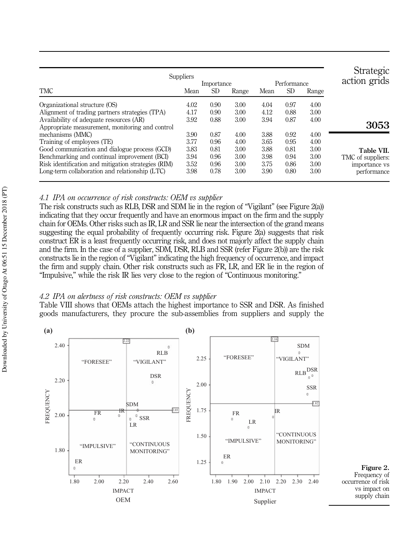| <b>Strategic</b><br>action grids |       | Performance |      |       | Importance | <b>Suppliers</b> |                                                     |  |  |
|----------------------------------|-------|-------------|------|-------|------------|------------------|-----------------------------------------------------|--|--|
|                                  | Range | <b>SD</b>   | Mean | Range | <b>SD</b>  | Mean             | <b>TMC</b>                                          |  |  |
|                                  | 4.00  | 0.97        | 4.04 | 3.00  | 0.90       | 4.02             | Organizational structure (OS)                       |  |  |
|                                  | 3.00  | 0.88        | 4.12 | 3.00  | 0.90       | 4.17             | Alignment of trading partners strategies (TPA)      |  |  |
|                                  | 4.00  | 0.87        | 3.94 | 3.00  | 0.88       | 3.92             | Availability of adequate resources (AR)             |  |  |
| 3053                             |       |             |      |       |            |                  | Appropriate measurement, monitoring and control     |  |  |
|                                  | 4.00  | 0.92        | 3.88 | 4.00  | 0.87       | 3.90             | mechanisms (MMC)                                    |  |  |
|                                  | 4.00  | 0.95        | 3.65 | 4.00  | 0.96       | 3.77             | Training of employees (TE)                          |  |  |
| Table VII.                       | 3.00  | 0.81        | 3.88 | 3.00  | 0.81       | 3.83             | Good communication and dialogue process (GCD)       |  |  |
| TMC of suppliers:                | 3.00  | 0.94        | 3.98 | 3.00  | 0.96       | 3.94             | Benchmarking and continual improvement (BCI)        |  |  |
| importance vs                    | 3.00  | 0.86        | 3.75 | 3.00  | 0.96       | 3.52             | Risk identification and mitigation strategies (RIM) |  |  |
| performance                      | 3.00  | 0.80        | 3.90 | 3.00  | 0.78       | 3.98             | Long-term collaboration and relationship (LTC)      |  |  |

### *4.1 IPA on occurrence of risk constructs: OEM vs supplier*

The risk constructs such as RLB, DSR and SDM lie in the region of "Vigilant" (see Figure 2(a)) indicating that they occur frequently and have an enormous impact on the firm and the supply chain for OEMs. Other risks such as IR, LR and SSR lie near the intersection of the grand means suggesting the equal probability of frequently occurring risk. Figure 2(a) suggests that risk construct ER is a least frequently occurring risk, and does not majorly affect the supply chain and the firm. In the case of a supplier, SDM, DSR, RLB and SSR (refer Figure 2(b)) are the risk constructs lie in the region of "Vigilant" indicating the high frequency of occurrence, and impact the firm and supply chain. Other risk constructs such as FR, LR, and ER lie in the region of "Impulsive," while the risk IR lies very close to the region of "Continuous monitoring."

### *4.2 IPA on alertness of risk constructs: OEM vs supplier*

Table VIII shows that OEMs attach the highest importance to SSR and DSR. As finished goods manufacturers, they procure the sub-assemblies from suppliers and supply the

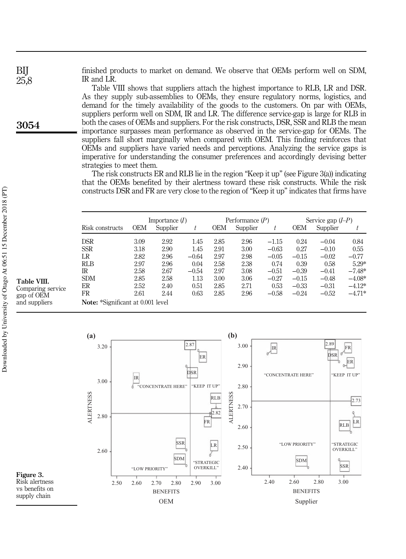finished products to market on demand. We observe that OEMs perform well on SDM, IR and LR.

Table VIII shows that suppliers attach the highest importance to RLB, LR and DSR. As they supply sub-assemblies to OEMs, they ensure regulatory norms, logistics, and demand for the timely availability of the goods to the customers. On par with OEMs, suppliers perform well on SDM, IR and LR. The difference service-gap is large for RLB in both the cases of OEMs and suppliers. For the risk constructs, DSR, SSR and RLB the mean importance surpasses mean performance as observed in the service-gap for OEMs. The suppliers fall short marginally when compared with OEM. This finding reinforces that OEMs and suppliers have varied needs and perceptions. Analyzing the service gaps is imperative for understanding the consumer preferences and accordingly devising better strategies to meet them.

The risk constructs ER and RLB lie in the region "Keep it up" (see Figure 3(a)) indicating that the OEMs benefited by their alertness toward these risk constructs. While the risk constructs DSR and FR are very close to the region of "Keep it up" indicates that firms have

|                                          |            | Importance $(I)$ |         |            | Performance $(P)$ |         | Service gap $(I-P)$ |          |          |
|------------------------------------------|------------|------------------|---------|------------|-------------------|---------|---------------------|----------|----------|
| Risk constructs                          | <b>OEM</b> | Supplier         | t       | <b>OEM</b> | Supplier          |         | <b>OEM</b>          | Supplier |          |
| <b>DSR</b>                               | 3.09       | 2.92             | 1.45    | 2.85       | 2.96              | $-1.15$ | 0.24                | $-0.04$  | 0.84     |
| <b>SSR</b>                               | 3.18       | 2.90             | 1.45    | 2.91       | 3.00              | $-0.63$ | 0.27                | $-0.10$  | 0.55     |
| LR                                       | 2.82       | 2.96             | $-0.64$ | 2.97       | 2.98              | $-0.05$ | $-0.15$             | $-0.02$  | $-0.77$  |
| <b>RLB</b>                               | 2.97       | 2.96             | 0.04    | 2.58       | 2.38              | 0.74    | 0.39                | 0.58     | $5.29*$  |
| IR                                       | 2.58       | 2.67             | $-0.54$ | 2.97       | 3.08              | $-0.51$ | $-0.39$             | $-0.41$  | $-7.48*$ |
| <b>SDM</b>                               | 2.85       | 2.58             | 1.13    | 3.00       | 3.06              | $-0.27$ | $-0.15$             | $-0.48$  | $-4.08*$ |
| ER                                       | 2.52       | 2.40             | 0.51    | 2.85       | 2.71              | 0.53    | $-0.33$             | $-0.31$  | $-4.12*$ |
| FR                                       | 2.61       | 2.44             | 0.63    | 2.85       | 2.96              | $-0.58$ | $-0.24$             | $-0.52$  | $-4.71*$ |
| <b>Note:</b> *Significant at 0.001 level |            |                  |         |            |                   |         |                     |          |          |



Table VIII. Comparing service gap of OEM and suppliers

3054

BIJ 25,8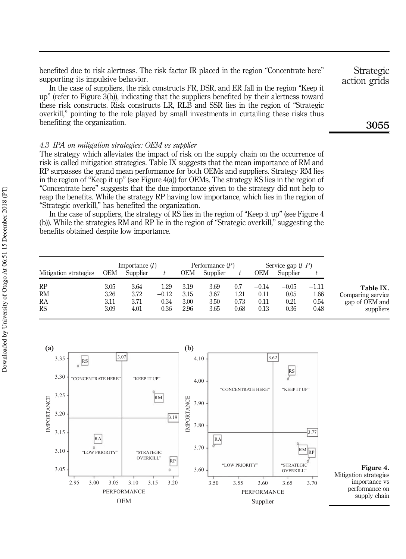benefited due to risk alertness. The risk factor IR placed in the region "Concentrate here" supporting its impulsive behavior.

In the case of suppliers, the risk constructs FR, DSR, and ER fall in the region "Keep it up" (refer to Figure 3(b)), indicating that the suppliers benefited by their alertness toward these risk constructs. Risk constructs LR, RLB and SSR lies in the region of "Strategic overkill," pointing to the role played by small investments in curtailing these risks thus benefiting the organization.

#### *4.3 IPA on mitigation strategies: OEM vs supplier*

The strategy which alleviates the impact of risk on the supply chain on the occurrence of risk is called mitigation strategies. Table IX suggests that the mean importance of RM and RP surpasses the grand mean performance for both OEMs and suppliers. Strategy RM lies in the region of "Keep it up" (see Figure 4(a)) for OEMs. The strategy RS lies in the region of "Concentrate here" suggests that the due importance given to the strategy did not help to reap the benefits. While the strategy RP having low importance, which lies in the region of "Strategic overkill," has benefited the organization.

In the case of suppliers, the strategy of RS lies in the region of "Keep it up" (see Figure 4 (b)). While the strategies RM and RP lie in the region of "Strategic overkill," suggesting the benefits obtained despite low importance.

|                       | Importance $(I)$ |          |         |      | Performance $(P)$ |      |         | Service gap $(I-P)$ |         |                   |
|-----------------------|------------------|----------|---------|------|-------------------|------|---------|---------------------|---------|-------------------|
| Mitigation strategies | OEM              | Supplier |         | ΟЕΜ  | Supplier          |      | OEM     | Supplier            |         |                   |
| RP                    | 3.05             | 3.64     | 1.29    | 3.19 | 3.69              | 0.7  | $-0.14$ | $-0.05$             | $-1.11$ | Table IX.         |
| <b>RM</b>             | 3.26             | 3.72     | $-0.12$ | 3.15 | 3.67              | 1.21 | 0.11    | 0.05                | 1.66    | Comparing service |
| RA                    | 3.11             | 3.71     | 0.34    | 3.00 | 3.50              | 0.73 | 0.11    | $\rm 0.21$          | 0.54    | gap of OEM and    |
| <b>RS</b>             | 3.09             | 4.01     | 0.36    | 2.96 | 3.65              | 0.68 | 0.13    | 0.36                | 0.48    | suppliers         |



action grids

Strategic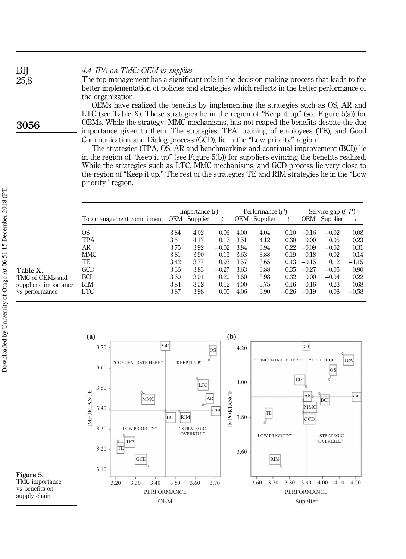### *4.4 IPA on TMC: OEM vs supplier*

The top management has a significant role in the decision-making process that leads to the better implementation of policies and strategies which reflects in the better performance of the organization.

OEMs have realized the benefits by implementing the strategies such as OS, AR and LTC (see Table X). These strategies lie in the region of "Keep it up" (see Figure 5(a)) for OEMs. While the strategy, MMC mechanisms, has not reaped the benefits despite the due importance given to them. The strategies, TPA, training of employees (TE), and Good Communication and Dialog process (GCD), lie in the "Low priority" region.

The strategies (TPA, OS, AR and benchmarking and continual improvement (BCI)) lie in the region of "Keep it up" (see Figure 5(b)) for suppliers evincing the benefits realized. While the strategies such as LTC, MMC mechanisms, and GCD process lie very close to the region of "Keep it up." The rest of the strategies TE and RIM strategies lie in the "Low priority" region.

|                                        |      | Importance $(I)$ |         |      | Performance $(P)$ |         |         | Service gap $(I-P)$ |         |
|----------------------------------------|------|------------------|---------|------|-------------------|---------|---------|---------------------|---------|
| Top management commitment OEM Supplier |      |                  | t       |      | OEM Supplier      |         | OEM     | Supplier            |         |
| OS                                     | 3.84 | 4.02             | 0.06    | 4.00 | 4.04              | 0.10    | $-0.16$ | $-0.02$             | 0.08    |
| TPA                                    | 3.51 | 4.17             | 0.17    | 3.51 | 4.12              | 0.30    | 0.00    | 0.05                | 0.23    |
| AR                                     | 3.75 | 3.92             | $-0.02$ | 3.84 | 3.94              | 0.22    | $-0.09$ | $-0.02$             | 0.31    |
| MMC                                    | 3.81 | 3.90             | 0.13    | 3.63 | 3.88              | 0.19    | 0.18    | 0.02                | 0.14    |
| TE                                     | 3.42 | 3.77             | 0.93    | 3.57 | 3.65              | 0.43    | $-0.15$ | 0.12                | $-1.15$ |
| GCD                                    | 3.36 | 3.83             | $-0.27$ | 3.63 | 3.88              | 0.35    | $-0.27$ | $-0.05$             | 0.90    |
| BCI                                    | 3.60 | 3.94             | 0.20    | 3.60 | 3.98              | 0.32    | 0.00    | $-0.04$             | 0.22    |
| <b>RIM</b>                             | 3.84 | 3.52             | $-0.12$ | 4.00 | 3.75              | $-0.16$ | $-0.16$ | $-0.23$             | $-0.68$ |
| LTC                                    | 3.87 | 3.98             | 0.05    | 4.06 | 3.90              | $-0.26$ | $-0.19$ | 0.08                | $-0.58$ |

**(b) (a)**  $3.45$   $3.9$ 3.70  $3.45$  0  $\overline{OS}$  4.20 OS d "CONCENTRATE HERE" "KEEP IT UP" TPA "CONCENTRATE HERE" "KEEP IT UP" 3.60 OS LTC 4.00 LTC 3.50 IMPORTANCE IMPORTANCE 3.92  $AR$   $\frac{Q}{Z}$   $AR$ MMC  $AR \mid \tilde{Z} \mid$  BCI MMC 3.40 3.39 TE RIM 3.80 BCI **GCD** 3.30 "LOW PRIORITY" "STRATEGIC OVERKILL" "LOW PRIORITY" "STRATEGIC TPA OVERKILL" TE 3.20 3.60 **GCD** RIM 3.10 3.20 3.30 3.40 3.50 3.60 3.70 3.60 3.70 3.80 3.90 4.00 4.10 4.20 PERFORMANCE PERFORMANCE OEM Supplier

3056

BIJ 25,8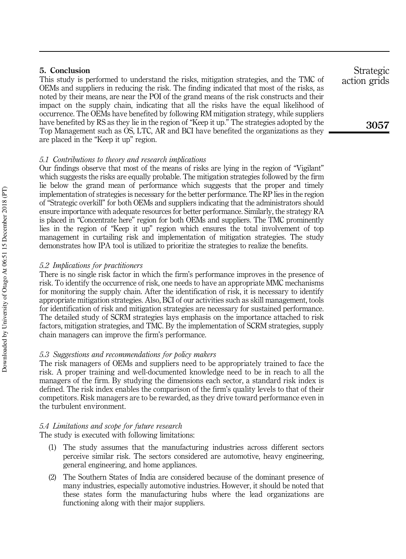### 5. Conclusion

This study is performed to understand the risks, mitigation strategies, and the TMC of OEMs and suppliers in reducing the risk. The finding indicated that most of the risks, as noted by their means, are near the POI of the grand means of the risk constructs and their impact on the supply chain, indicating that all the risks have the equal likelihood of occurrence. The OEMs have benefited by following RM mitigation strategy, while suppliers have benefited by RS as they lie in the region of "Keep it up." The strategies adopted by the Top Management such as OS, LTC, AR and BCI have benefited the organizations as they are placed in the "Keep it up" region.

#### *5.1 Contributions to theory and research implications*

Our findings observe that most of the means of risks are lying in the region of "Vigilant" which suggests the risks are equally probable. The mitigation strategies followed by the firm lie below the grand mean of performance which suggests that the proper and timely implementation of strategies is necessary for the better performance. The RP lies in the region of "Strategic overkill" for both OEMs and suppliers indicating that the administrators should ensure importance with adequate resources for better performance. Similarly, the strategy RA is placed in "Concentrate here" region for both OEMs and suppliers. The TMC prominently lies in the region of "Keep it up" region which ensures the total involvement of top management in curtailing risk and implementation of mitigation strategies. The study demonstrates how IPA tool is utilized to prioritize the strategies to realize the benefits.

#### *5.2 Implications for practitioners*

There is no single risk factor in which the firm's performance improves in the presence of risk. To identify the occurrence of risk, one needs to have an appropriate MMC mechanisms for monitoring the supply chain. After the identification of risk, it is necessary to identify appropriate mitigation strategies. Also, BCI of our activities such as skill management, tools for identification of risk and mitigation strategies are necessary for sustained performance. The detailed study of SCRM strategies lays emphasis on the importance attached to risk factors, mitigation strategies, and TMC. By the implementation of SCRM strategies, supply chain managers can improve the firm's performance.

#### *5.3 Suggestions and recommendations for policy makers*

The risk managers of OEMs and suppliers need to be appropriately trained to face the risk. A proper training and well-documented knowledge need to be in reach to all the managers of the firm. By studying the dimensions each sector, a standard risk index is defined. The risk index enables the comparison of the firm's quality levels to that of their competitors. Risk managers are to be rewarded, as they drive toward performance even in the turbulent environment.

#### *5.4 Limitations and scope for future research*

The study is executed with following limitations:

- (1) The study assumes that the manufacturing industries across different sectors perceive similar risk. The sectors considered are automotive, heavy engineering, general engineering, and home appliances.
- (2) The Southern States of India are considered because of the dominant presence of many industries, especially automotive industries. However, it should be noted that these states form the manufacturing hubs where the lead organizations are functioning along with their major suppliers.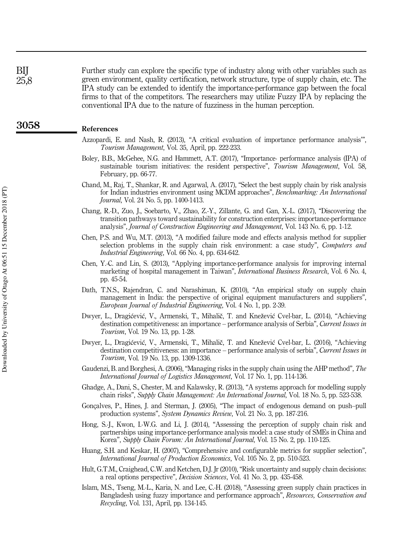Further study can explore the specific type of industry along with other variables such as green environment, quality certification, network structure, type of supply chain, etc. The IPA study can be extended to identify the importance-performance gap between the focal firms to that of the competitors. The researchers may utilize Fuzzy IPA by replacing the conventional IPA due to the nature of fuzziness in the human perception.

#### References

- Azzopardi, E. and Nash, R. (2013), "A critical evaluation of importance performance analysis'", *Tourism Management*, Vol. 35, April, pp. 222-233.
- Boley, B.B., McGehee, N.G. and Hammett, A.T. (2017), "Importance- performance analysis (IPA) of sustainable tourism initiatives: the resident perspective", *Tourism Management*, Vol. 58, February, pp. 66-77.
- Chand, M., Raj, T., Shankar, R. and Agarwal, A. (2017), "Select the best supply chain by risk analysis for Indian industries environment using MCDM approaches", *Benchmarking: An International Journal*, Vol. 24 No. 5, pp. 1400-1413.
- Chang, R.-D., Zuo, J., Soebarto, V., Zhao, Z.-Y., Zillante, G. and Gan, X.-L. (2017), "Discovering the transition pathways toward sustainability for construction enterprises: importance-performance analysis", *Journal of Construction Engineering and Management*, Vol. 143 No. 6, pp. 1-12.
- Chen, P.S. and Wu, M.T. (2013), "A modified failure mode and effects analysis method for supplier selection problems in the supply chain risk environment: a case study", *Computers and Industrial Engineering*, Vol. 66 No. 4, pp. 634-642.
- Chen, Y.-C. and Lin, S. (2013), "Applying importance-performance analysis for improving internal marketing of hospital management in Taiwan", *International Business Research*, Vol. 6 No. 4, pp. 45-54.
- Dath, T.N.S., Rajendran, C. and Narashiman, K. (2010), "An empirical study on supply chain management in India: the perspective of original equipment manufacturers and suppliers", *European Journal of Industrial Engineering*, Vol. 4 No. 1, pp. 2-39.
- Dwyer, L., Dragićević, V., Armenski, T., Mihalič, T. and Knežević Cvel-bar, L. (2014), "Achieving destination competitiveness: an importance – performance analysis of Serbia", *Current Issues in Tourism*, Vol. 19 No. 13, pp. 1-28.
- Dwyer, L., Dragićević, V., Armenski, T., Mihalič, T. and Knežević Cvel-bar, L. (2016), "Achieving destination competitiveness: an importance – performance analysis of serbia", *Current Issues in Tourism*, Vol. 19 No. 13, pp. 1309-1336.
- Gaudenzi, B. and Borghesi, A. (2006), "Managing risks in the supply chain using the AHP method", *The International Journal of Logistics Management*, Vol. 17 No. 1, pp. 114-136.
- Ghadge, A., Dani, S., Chester, M. and Kalawsky, R. (2013), "A systems approach for modelling supply chain risks", *Supply Chain Management: An International Journal*, Vol. 18 No. 5, pp. 523-538.
- Gonçalves, P., Hines, J. and Sterman, J. (2005), "The impact of endogenous demand on push–pull production systems", *System Dynamics Review*, Vol. 21 No. 3, pp. 187-216.
- Hong, S.-J., Kwon, I.-W.G. and Li, J. (2014), "Assessing the perception of supply chain risk and partnerships using importance-performance analysis model: a case study of SMEs in China and Korea", *Supply Chain Forum: An International Journal*, Vol. 15 No. 2, pp. 110-125.
- Huang, S.H. and Keskar, H. (2007), "Comprehensive and configurable metrics for supplier selection", *International Journal of Production Economics*, Vol. 105 No. 2, pp. 510-523.
- Hult, G.T.M., Craighead, C.W. and Ketchen, D.J. Jr (2010), "Risk uncertainty and supply chain decisions: a real options perspective", *Decision Sciences*, Vol. 41 No. 3, pp. 435-458.
- Islam, M.S., Tseng, M.-L., Karia, N. and Lee, C.-H. (2018), "Assessing green supply chain practices in Bangladesh using fuzzy importance and performance approach", *Resources, Conservation and Recycling*, Vol. 131, April, pp. 134-145.

3058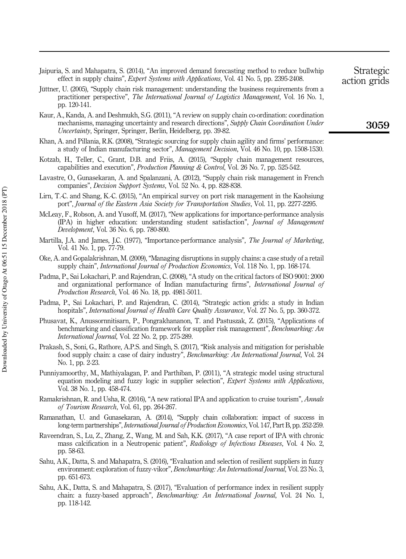- Jaipuria, S. and Mahapatra, S. (2014), "An improved demand forecasting method to reduce bullwhip effect in supply chains", *Expert Systems with Applications*, Vol. 41 No. 5, pp. 2395-2408.
- Jüttner, U. (2005), "Supply chain risk management: understanding the business requirements from a practitioner perspective", *The International Journal of Logistics Management*, Vol. 16 No. 1, pp. 120-141.
- Kaur, A., Kanda, A. and Deshmukh, S.G. (2011), "A review on supply chain co-ordination: coordination mechanisms, managing uncertainty and research directions", *Supply Chain Coordination Under Uncertainty*, Springer, Springer, Berlin, Heidelberg, pp. 39-82.
- Khan, A. and Pillania, R.K. (2008), "Strategic sourcing for supply chain agility and firms' performance: a study of Indian manufacturing sector", *Management Decision*, Vol. 46 No. 10, pp. 1508-1530.
- Kotzab, H., Teller, C., Grant, D.B. and Friis, A. (2015), "Supply chain management resources, capabilities and execution", *Production Planning & Control*, Vol. 26 No. 7, pp. 525-542.
- Lavastre, O., Gunasekaran, A. and Spalanzani, A. (2012), "Supply chain risk management in French companies", *Decision Support Systems*, Vol. 52 No. 4, pp. 828-838.
- Lirn, T.-C. and Shang, K.-C. (2015), "An empirical survey on port risk management in the Kaohsiung port", *Journal of the Eastern Asia Society for Transportation Studies*, Vol. 11, pp. 2277-2295.
- McLeay, F., Robson, A. and Yusoff, M. (2017), "New applications for importance-performance analysis (IPA) in higher education: understanding student satisfaction", *Journal of Management Development*, Vol. 36 No. 6, pp. 780-800.
- Martilla, J.A. and James, J.C. (1977), "Importance-performance analysis", *The Journal of Marketing*, Vol. 41 No. 1, pp. 77-79.
- Oke, A. and Gopalakrishnan, M. (2009), "Managing disruptions in supply chains: a case study of a retail supply chain", *International Journal of Production Economics*, Vol. 118 No. 1, pp. 168-174.
- Padma, P., Sai Lokachari, P. and Rajendran, C. (2008), "A study on the critical factors of ISO 9001: 2000 and organizational performance of Indian manufacturing firms", *International Journal of Production Research*, Vol. 46 No. 18, pp. 4981-5011.
- Padma, P., Sai Lokachari, P. and Rajendran, C. (2014), "Strategic action grids: a study in Indian hospitals", *International Journal of Health Care Quality Assurance*, Vol. 27 No. 5, pp. 360-372.
- Phusavat, K., Anussornnitisarn, P., Pongrakhananon, T. and Pastuszak, Z. (2015), "Applications of benchmarking and classification framework for supplier risk management", *Benchmarking: An International Journal*, Vol. 22 No. 2, pp. 275-289.
- Prakash, S., Soni, G., Rathore, A.P.S. and Singh, S. (2017), "Risk analysis and mitigation for perishable food supply chain: a case of dairy industry", *Benchmarking: An International Journal*, Vol. 24 No. 1, pp. 2-23.
- Punniyamoorthy, M., Mathiyalagan, P. and Parthiban, P. (2011), "A strategic model using structural equation modeling and fuzzy logic in supplier selection", *Expert Systems with Applications*, Vol. 38 No. 1, pp. 458-474.
- Ramakrishnan, R. and Usha, R. (2016), "A new rational IPA and application to cruise tourism", *Annals of Tourism Research*, Vol. 61, pp. 264-267.
- Ramanathan, U. and Gunasekaran, A. (2014), "Supply chain collaboration: impact of success in long-term partnerships", *International Journal of Production Economics*, Vol. 147, Part B, pp. 252-259.
- Raveendran, S., Lu, Z., Zhang, Z., Wang, M. and Sah, K.K. (2017), "A case report of IPA with chronic mass calcification in a Neutropenic patient", *Radiology of Infectious Diseases*, Vol. 4 No. 2, pp. 58-63.
- Sahu, A.K., Datta, S. and Mahapatra, S. (2016), "Evaluation and selection of resilient suppliers in fuzzy environment: exploration of fuzzy-vikor", *Benchmarking: An International Journal*, Vol. 23 No. 3, pp. 651-673.
- Sahu, A.K., Datta, S. and Mahapatra, S. (2017), "Evaluation of performance index in resilient supply chain: a fuzzy-based approach", *Benchmarking: An International Journal*, Vol. 24 No. 1, pp. 118-142.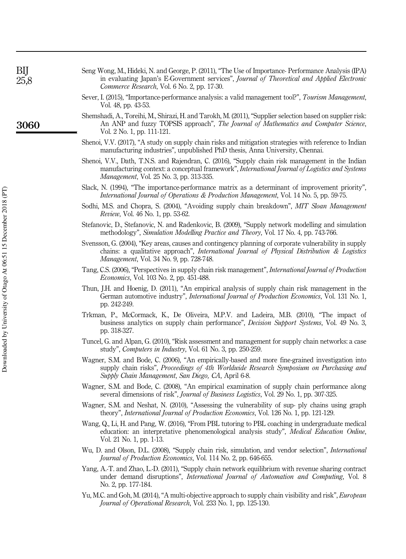| Seng Wong, M., Hideki, N. and George, P. (2011), "The Use of Importance-Performance Analysis (IPA)<br>in evaluating Japan's E-Government services", Journal of Theoretical and Applied Electronic<br>Commerce Research, Vol. 6 No. 2, pp. 17-30. |
|--------------------------------------------------------------------------------------------------------------------------------------------------------------------------------------------------------------------------------------------------|
| Sever, I. (2015), "Importance-performance analysis: a valid management tool?", Tourism Management.<br>Vol. 48, pp. 43-53.                                                                                                                        |
| Shemshadi, A., Toreihi, M., Shirazi, H. and Tarokh, M. (2011), "Supplier selection based on supplier risk:<br>An ANP and fuzzy TOPSIS approach", The Journal of Mathematics and Computer Science.<br>Vol. 2 No. 1, pp. 111-121.                  |

- Shenoi, V.V. (2017), "A study on supply chain risks and mitigation strategies with reference to Indian manufacturing industries", unpublished PhD thesis, Anna University, Chennai.
- Shenoi, V.V., Dath, T.N.S. and Rajendran, C. (2016), "Supply chain risk management in the Indian manufacturing context: a conceptual framework", *International Journal of Logistics and Systems Management*, Vol. 25 No. 3, pp. 313-335.
- Slack, N. (1994), "The importance-performance matrix as a determinant of improvement priority", *International Journal of Operations & Production Management*, Vol. 14 No. 5, pp. 59-75.
- Sodhi, M.S. and Chopra, S. (2004), "Avoiding supply chain breakdown", *MIT Sloan Management Review*, Vol. 46 No. 1, pp. 53-62.
- Stefanovic, D., Stefanovic, N. and Radenkovic, B. (2009), "Supply network modelling and simulation methodology", *Simulation Modelling Practice and Theory*, Vol. 17 No. 4, pp. 743-766.
- Svensson, G. (2004), "Key areas, causes and contingency planning of corporate vulnerability in supply chains: a qualitative approach", *International Journal of Physical Distribution & Logistics Management*, Vol. 34 No. 9, pp. 728-748.
- Tang, C.S. (2006), "Perspectives in supply chain risk management", *International Journal of Production Economics*, Vol. 103 No. 2, pp. 451-488.
- Thun, J.H. and Hoenig, D. (2011), "An empirical analysis of supply chain risk management in the German automotive industry", *International Journal of Production Economics*, Vol. 131 No. 1, pp. 242-249.
- Trkman, P., McCormack, K., De Oliveira, M.P.V. and Ladeira, M.B. (2010), "The impact of business analytics on supply chain performance", *Decision Support Systems*, Vol. 49 No. 3, pp. 318-327.
- Tuncel, G. and Alpan, G. (2010), "Risk assessment and management for supply chain networks: a case study", *Computers in Industry*, Vol. 61 No. 3, pp. 250-259.
- Wagner, S.M. and Bode, C. (2006), "An empirically-based and more fine-grained investigation into supply chain risks", *Proceedings of 4th Worldwide Research Symposium on Purchasing and Supply Chain Management*, *San Diego, CA*, April 6-8.
- Wagner, S.M. and Bode, C. (2008), "An empirical examination of supply chain performance along several dimensions of risk", *Journal of Business Logistics*, Vol. 29 No. 1, pp. 307-325.
- Wagner, S.M. and Neshat, N. (2010), "Assessing the vulnerability of sup- ply chains using graph theory", *International Journal of Production Economics*, Vol. 126 No. 1, pp. 121-129.
- Wang, Q., Li, H. and Pang, W. (2016), "From PBL tutoring to PBL coaching in undergraduate medical education: an interpretative phenomenological analysis study", *Medical Education Online*, Vol. 21 No. 1, pp. 1-13.
- Wu, D. and Olson, D.L. (2008), "Supply chain risk, simulation, and vendor selection", *International Journal of Production Economics*, Vol. 114 No. 2, pp. 646-655.
- Yang, A.-T. and Zhao, L.-D. (2011), "Supply chain network equilibrium with revenue sharing contract under demand disruptions", *International Journal of Automation and Computing*, Vol. 8 No. 2, pp. 177-184.
- Yu, M.C. and Goh, M. (2014), "A multi-objective approach to supply chain visibility and risk", *European Journal of Operational Research*, Vol. 233 No. 1, pp. 125-130.

3060